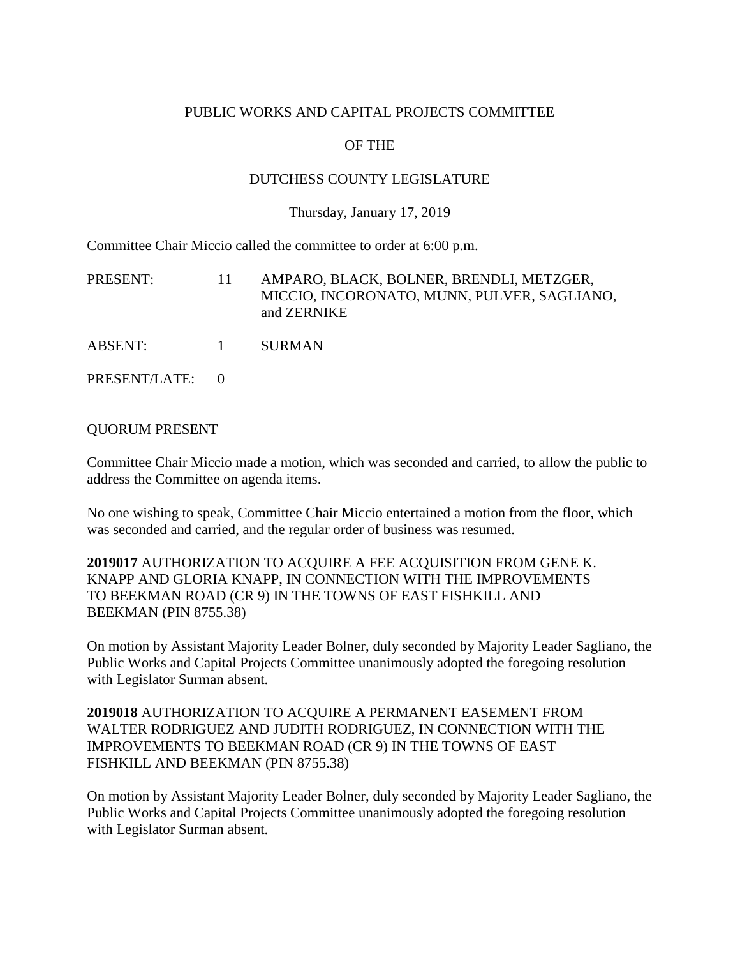## PUBLIC WORKS AND CAPITAL PROJECTS COMMITTEE

# OF THE

## DUTCHESS COUNTY LEGISLATURE

#### Thursday, January 17, 2019

Committee Chair Miccio called the committee to order at 6:00 p.m.

| PRESENT:      | -11 -      | AMPARO, BLACK, BOLNER, BRENDLI, METZGER,<br>MICCIO, INCORONATO, MUNN, PULVER, SAGLIANO,<br>and ZERNIKE |
|---------------|------------|--------------------------------------------------------------------------------------------------------|
| ABSENT:       | $\sim$ $1$ | <b>SURMAN</b>                                                                                          |
| PRESENT/LATE: |            |                                                                                                        |

#### QUORUM PRESENT

Committee Chair Miccio made a motion, which was seconded and carried, to allow the public to address the Committee on agenda items.

No one wishing to speak, Committee Chair Miccio entertained a motion from the floor, which was seconded and carried, and the regular order of business was resumed.

**2019017** AUTHORIZATION TO ACQUIRE A FEE ACQUISITION FROM GENE K. KNAPP AND GLORIA KNAPP, IN CONNECTION WITH THE IMPROVEMENTS TO BEEKMAN ROAD (CR 9) IN THE TOWNS OF EAST FISHKILL AND BEEKMAN (PIN 8755.38)

On motion by Assistant Majority Leader Bolner, duly seconded by Majority Leader Sagliano, the Public Works and Capital Projects Committee unanimously adopted the foregoing resolution with Legislator Surman absent.

# **2019018** AUTHORIZATION TO ACQUIRE A PERMANENT EASEMENT FROM WALTER RODRIGUEZ AND JUDITH RODRIGUEZ, IN CONNECTION WITH THE IMPROVEMENTS TO BEEKMAN ROAD (CR 9) IN THE TOWNS OF EAST FISHKILL AND BEEKMAN (PIN 8755.38)

On motion by Assistant Majority Leader Bolner, duly seconded by Majority Leader Sagliano, the Public Works and Capital Projects Committee unanimously adopted the foregoing resolution with Legislator Surman absent.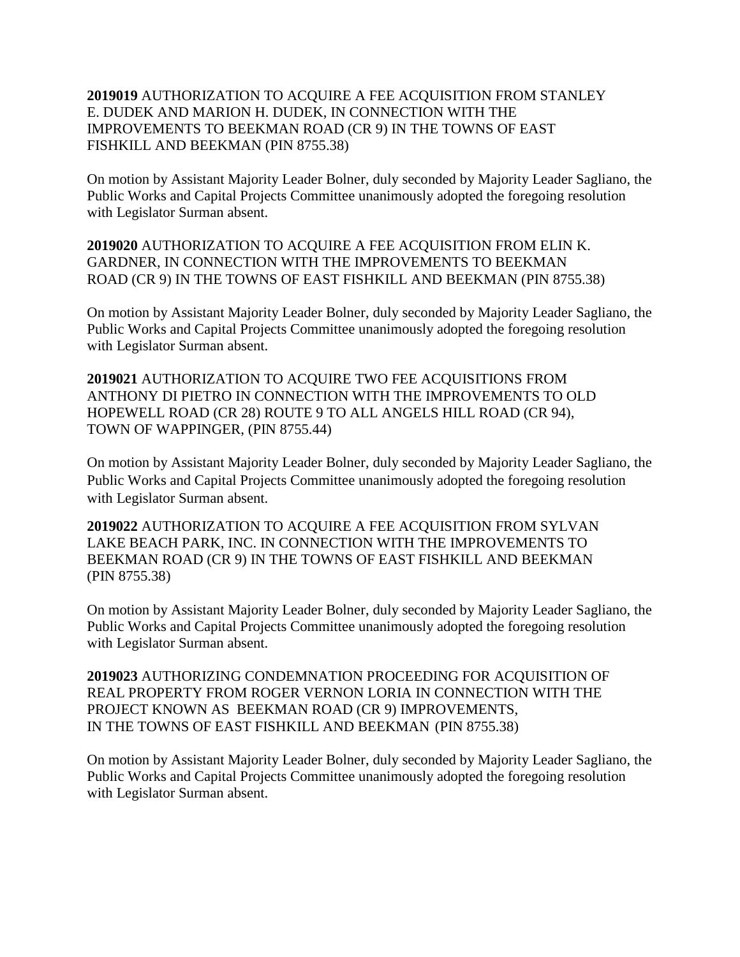## **2019019** AUTHORIZATION TO ACQUIRE A FEE ACQUISITION FROM STANLEY E. DUDEK AND MARION H. DUDEK, IN CONNECTION WITH THE IMPROVEMENTS TO BEEKMAN ROAD (CR 9) IN THE TOWNS OF EAST FISHKILL AND BEEKMAN (PIN 8755.38)

On motion by Assistant Majority Leader Bolner, duly seconded by Majority Leader Sagliano, the Public Works and Capital Projects Committee unanimously adopted the foregoing resolution with Legislator Surman absent.

**2019020** AUTHORIZATION TO ACQUIRE A FEE ACQUISITION FROM ELIN K. GARDNER, IN CONNECTION WITH THE IMPROVEMENTS TO BEEKMAN ROAD (CR 9) IN THE TOWNS OF EAST FISHKILL AND BEEKMAN (PIN 8755.38)

On motion by Assistant Majority Leader Bolner, duly seconded by Majority Leader Sagliano, the Public Works and Capital Projects Committee unanimously adopted the foregoing resolution with Legislator Surman absent.

**2019021** AUTHORIZATION TO ACQUIRE TWO FEE ACQUISITIONS FROM ANTHONY DI PIETRO IN CONNECTION WITH THE IMPROVEMENTS TO OLD HOPEWELL ROAD (CR 28) ROUTE 9 TO ALL ANGELS HILL ROAD (CR 94), TOWN OF WAPPINGER, (PIN 8755.44)

On motion by Assistant Majority Leader Bolner, duly seconded by Majority Leader Sagliano, the Public Works and Capital Projects Committee unanimously adopted the foregoing resolution with Legislator Surman absent.

**2019022** AUTHORIZATION TO ACQUIRE A FEE ACQUISITION FROM SYLVAN LAKE BEACH PARK, INC. IN CONNECTION WITH THE IMPROVEMENTS TO BEEKMAN ROAD (CR 9) IN THE TOWNS OF EAST FISHKILL AND BEEKMAN (PIN 8755.38)

On motion by Assistant Majority Leader Bolner, duly seconded by Majority Leader Sagliano, the Public Works and Capital Projects Committee unanimously adopted the foregoing resolution with Legislator Surman absent.

**2019023** AUTHORIZING CONDEMNATION PROCEEDING FOR ACQUISITION OF REAL PROPERTY FROM ROGER VERNON LORIA IN CONNECTION WITH THE PROJECT KNOWN AS BEEKMAN ROAD (CR 9) IMPROVEMENTS, IN THE TOWNS OF EAST FISHKILL AND BEEKMAN (PIN 8755.38)

On motion by Assistant Majority Leader Bolner, duly seconded by Majority Leader Sagliano, the Public Works and Capital Projects Committee unanimously adopted the foregoing resolution with Legislator Surman absent.